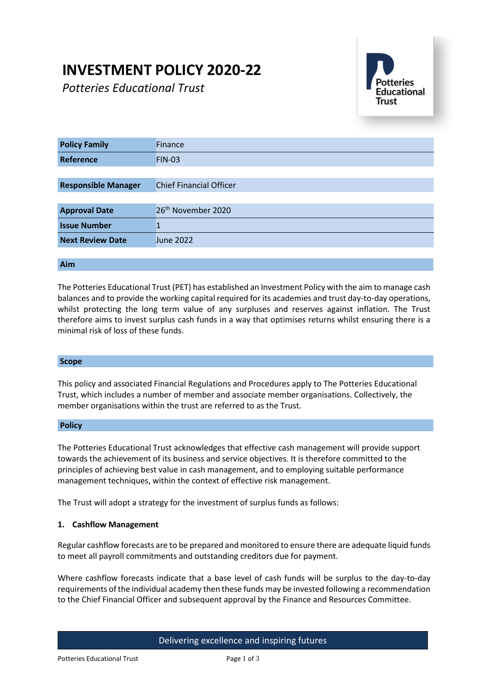# **INVESTMENT POLICY 2020-22**

*Potteries Educational Trust*



| <b>Policy Family</b>       | Finance                        |
|----------------------------|--------------------------------|
| Reference                  | <b>FIN-03</b>                  |
|                            |                                |
| <b>Responsible Manager</b> | <b>Chief Financial Officer</b> |
|                            |                                |
| <b>Approval Date</b>       | 26 <sup>th</sup> November 2020 |
| <b>Issue Number</b>        |                                |
| <b>Next Review Date</b>    | <b>June 2022</b>               |
|                            |                                |

### **Aim**

The Potteries Educational Trust (PET) has established an Investment Policy with the aim to manage cash balances and to provide the working capital required for its academies and trust day-to-day operations, whilst protecting the long term value of any surpluses and reserves against inflation. The Trust therefore aims to invest surplus cash funds in a way that optimises returns whilst ensuring there is a minimal risk of loss of these funds.

#### **Scope**

This policy and associated Financial Regulations and Procedures apply to The Potteries Educational Trust, which includes a number of member and associate member organisations. Collectively, the member organisations within the trust are referred to as the Trust.

#### **Policy**

The Potteries Educational Trust acknowledges that effective cash management will provide support towards the achievement of its business and service objectives. It is therefore committed to the principles of achieving best value in cash management, and to employing suitable performance management techniques, within the context of effective risk management.

The Trust will adopt a strategy for the investment of surplus funds as follows:

#### **1. Cashflow Management**

Regular cashflow forecasts are to be prepared and monitored to ensure there are adequate liquid funds to meet all payroll commitments and outstanding creditors due for payment.

Where cashflow forecasts indicate that a base level of cash funds will be surplus to the day-to-day requirements of the individual academy then these funds may be invested following a recommendation to the Chief Financial Officer and subsequent approval by the Finance and Resources Committee.

# Delivering excellence and inspiring futures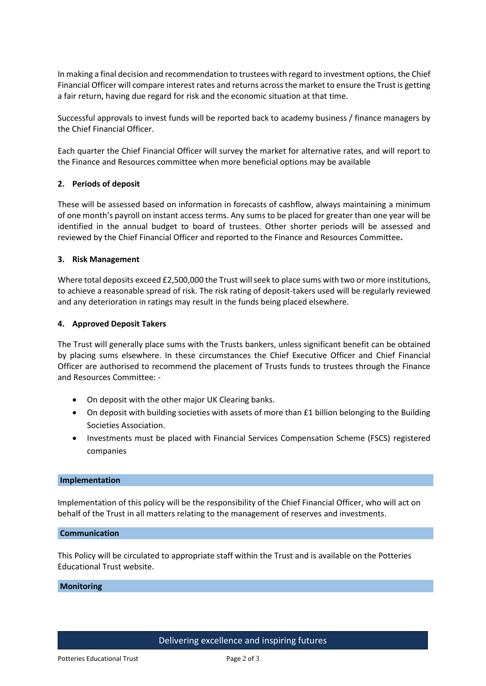In making a final decision and recommendation to trustees with regard to investment options, the Chief Financial Officer will compare interest rates and returns across the market to ensure the Trust is getting a fair return, having due regard for risk and the economic situation at that time.

Successful approvals to invest funds will be reported back to academy business / finance managers by the Chief Financial Officer.

Each quarter the Chief Financial Officer will survey the market for alternative rates, and will report to the Finance and Resources committee when more beneficial options may be available

#### **2. Periods of deposit**

These will be assessed based on information in forecasts of cashflow, always maintaining a minimum of one month's payroll on instant access terms. Any sums to be placed for greater than one year will be identified in the annual budget to board of trustees. Other shorter periods will be assessed and reviewed by the Chief Financial Officer and reported to the Finance and Resources Committee**.**

#### **3. Risk Management**

Where total deposits exceed £2,500,000 the Trust will seek to place sums with two or more institutions, to achieve a reasonable spread of risk. The risk rating of deposit-takers used will be regularly reviewed and any deterioration in ratings may result in the funds being placed elsewhere.

#### **4. Approved Deposit Takers**

The Trust will generally place sums with the Trusts bankers, unless significant benefit can be obtained by placing sums elsewhere. In these circumstances the Chief Executive Officer and Chief Financial Officer are authorised to recommend the placement of Trusts funds to trustees through the Finance and Resources Committee: -

- On deposit with the other major UK Clearing banks.
- On deposit with building societies with assets of more than £1 billion belonging to the Building Societies Association.
- Investments must be placed with Financial Services Compensation Scheme (FSCS) registered companies

#### **Implementation**

Implementation of this policy will be the responsibility of the Chief Financial Officer, who will act on behalf of the Trust in all matters relating to the management of reserves and investments.

### **Communication**

This Policy will be circulated to appropriate staff within the Trust and is available on the Potteries Educational Trust website.

#### **Monitoring**